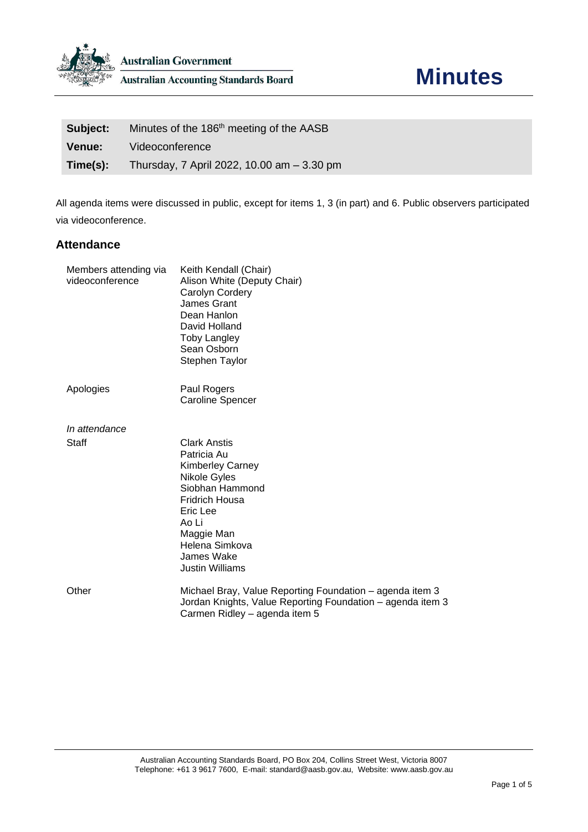

| Subject:      | Minutes of the 186 <sup>th</sup> meeting of the AASB |
|---------------|------------------------------------------------------|
| <b>Venue:</b> | Videoconference                                      |
| Time(s):      | Thursday, 7 April 2022, 10.00 am - 3.30 pm           |

All agenda items were discussed in public, except for items 1, 3 (in part) and 6. Public observers participated via videoconference.

# **Attendance**

| Members attending via<br>videoconference | Keith Kendall (Chair)<br>Alison White (Deputy Chair)<br>Carolyn Cordery<br>James Grant<br>Dean Hanlon<br>David Holland<br><b>Toby Langley</b><br>Sean Osborn<br>Stephen Taylor                                  |
|------------------------------------------|-----------------------------------------------------------------------------------------------------------------------------------------------------------------------------------------------------------------|
| Apologies                                | Paul Rogers<br><b>Caroline Spencer</b>                                                                                                                                                                          |
| In attendance                            |                                                                                                                                                                                                                 |
| Staff                                    | <b>Clark Anstis</b><br>Patricia Au<br><b>Kimberley Carney</b><br>Nikole Gyles<br>Siobhan Hammond<br><b>Fridrich Housa</b><br>Eric Lee<br>Ao Li<br>Maggie Man<br>Helena Simkova<br>James Wake<br>Justin Williams |
| Other                                    | Michael Bray, Value Reporting Foundation – agenda item 3<br>Jordan Knights, Value Reporting Foundation - agenda item 3<br>Carmen Ridley - agenda item 5                                                         |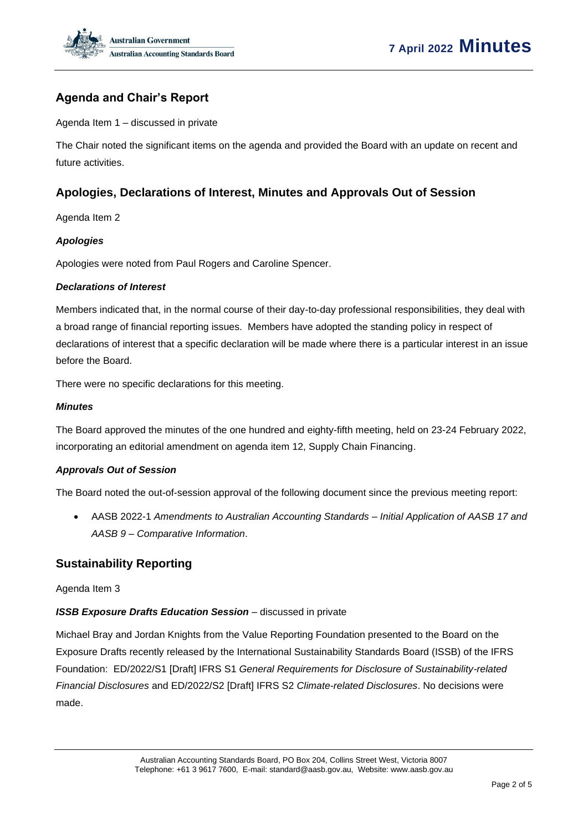

# **Agenda and Chair's Report**

Agenda Item 1 – discussed in private

The Chair noted the significant items on the agenda and provided the Board with an update on recent and future activities.

# **Apologies, Declarations of Interest, Minutes and Approvals Out of Session**

Agenda Item 2

#### *Apologies*

Apologies were noted from Paul Rogers and Caroline Spencer.

#### *Declarations of Interest*

Members indicated that, in the normal course of their day-to-day professional responsibilities, they deal with a broad range of financial reporting issues. Members have adopted the standing policy in respect of declarations of interest that a specific declaration will be made where there is a particular interest in an issue before the Board.

There were no specific declarations for this meeting.

### *Minutes*

The Board approved the minutes of the one hundred and eighty-fifth meeting, held on 23-24 February 2022, incorporating an editorial amendment on agenda item 12, Supply Chain Financing.

### *Approvals Out of Session*

The Board noted the out-of-session approval of the following document since the previous meeting report:

• AASB 2022-1 *Amendments to Australian Accounting Standards – Initial Application of AASB 17 and AASB 9 – Comparative Information*.

### **Sustainability Reporting**

#### Agenda Item 3

### *ISSB Exposure Drafts Education Session* – discussed in private

Michael Bray and Jordan Knights from the Value Reporting Foundation presented to the Board on the Exposure Drafts recently released by the International Sustainability Standards Board (ISSB) of the IFRS Foundation: ED/2022/S1 [Draft] IFRS S1 *General Requirements for Disclosure of Sustainability-related Financial Disclosures* and ED/2022/S2 [Draft] IFRS S2 *Climate-related Disclosures*. No decisions were made.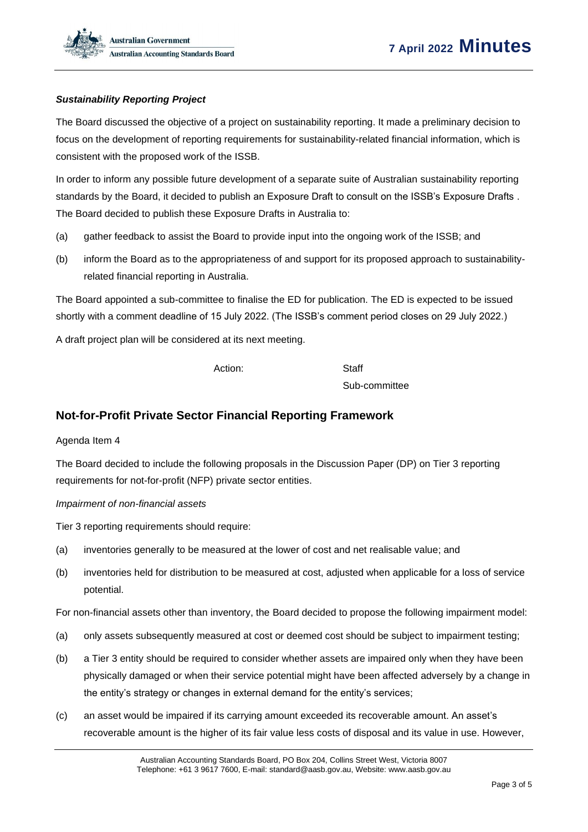### *Sustainability Reporting Project*

The Board discussed the objective of a project on sustainability reporting. It made a preliminary decision to focus on the development of reporting requirements for sustainability-related financial information, which is consistent with the proposed work of the ISSB.

In order to inform any possible future development of a separate suite of Australian sustainability reporting standards by the Board, it decided to publish an Exposure Draft to consult on the ISSB's Exposure Drafts . The Board decided to publish these Exposure Drafts in Australia to:

- (a) gather feedback to assist the Board to provide input into the ongoing work of the ISSB; and
- (b) inform the Board as to the appropriateness of and support for its proposed approach to sustainabilityrelated financial reporting in Australia.

The Board appointed a sub-committee to finalise the ED for publication. The ED is expected to be issued shortly with a comment deadline of 15 July 2022. (The ISSB's comment period closes on 29 July 2022.)

A draft project plan will be considered at its next meeting.

Action: Staff

Sub-committee

## **Not-for-Profit Private Sector Financial Reporting Framework**

### Agenda Item 4

The Board decided to include the following proposals in the Discussion Paper (DP) on Tier 3 reporting requirements for not-for-profit (NFP) private sector entities.

#### *Impairment of non-financial assets*

Tier 3 reporting requirements should require:

- (a) inventories generally to be measured at the lower of cost and net realisable value; and
- (b) inventories held for distribution to be measured at cost, adjusted when applicable for a loss of service potential.

For non-financial assets other than inventory, the Board decided to propose the following impairment model:

- (a) only assets subsequently measured at cost or deemed cost should be subject to impairment testing;
- (b) a Tier 3 entity should be required to consider whether assets are impaired only when they have been physically damaged or when their service potential might have been affected adversely by a change in the entity's strategy or changes in external demand for the entity's services;
- (c) an asset would be impaired if its carrying amount exceeded its recoverable amount. An asset's recoverable amount is the higher of its fair value less costs of disposal and its value in use. However,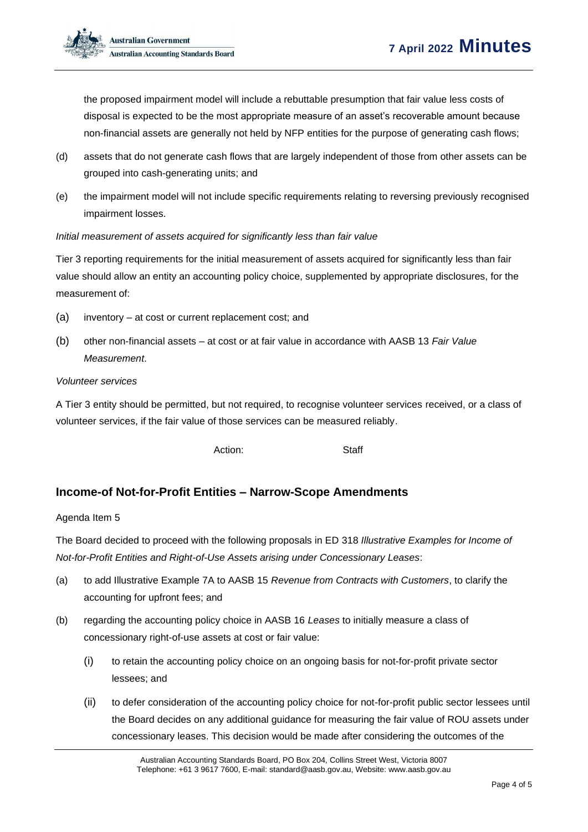the proposed impairment model will include a rebuttable presumption that fair value less costs of disposal is expected to be the most appropriate measure of an asset's recoverable amount because non-financial assets are generally not held by NFP entities for the purpose of generating cash flows;

- (d) assets that do not generate cash flows that are largely independent of those from other assets can be grouped into cash-generating units; and
- (e) the impairment model will not include specific requirements relating to reversing previously recognised impairment losses.

### *Initial measurement of assets acquired for significantly less than fair value*

Tier 3 reporting requirements for the initial measurement of assets acquired for significantly less than fair value should allow an entity an accounting policy choice, supplemented by appropriate disclosures, for the measurement of:

- (a) inventory at cost or current replacement cost; and
- (b) other non-financial assets at cost or at fair value in accordance with AASB 13 *Fair Value Measurement*.

### *Volunteer services*

A Tier 3 entity should be permitted, but not required, to recognise volunteer services received, or a class of volunteer services, if the fair value of those services can be measured reliably.

Action: Staff

# **Income-of Not-for-Profit Entities – Narrow-Scope Amendments**

### Agenda Item 5

The Board decided to proceed with the following proposals in ED 318 *Illustrative Examples for Income of Not-for-Profit Entities and Right-of-Use Assets arising under Concessionary Leases*:

- (a) to add Illustrative Example 7A to AASB 15 *Revenue from Contracts with Customers*, to clarify the accounting for upfront fees; and
- (b) regarding the accounting policy choice in AASB 16 *Leases* to initially measure a class of concessionary right-of-use assets at cost or fair value:
	- (i) to retain the accounting policy choice on an ongoing basis for not-for-profit private sector lessees; and
	- (ii) to defer consideration of the accounting policy choice for not-for-profit public sector lessees until the Board decides on any additional guidance for measuring the fair value of ROU assets under concessionary leases. This decision would be made after considering the outcomes of the